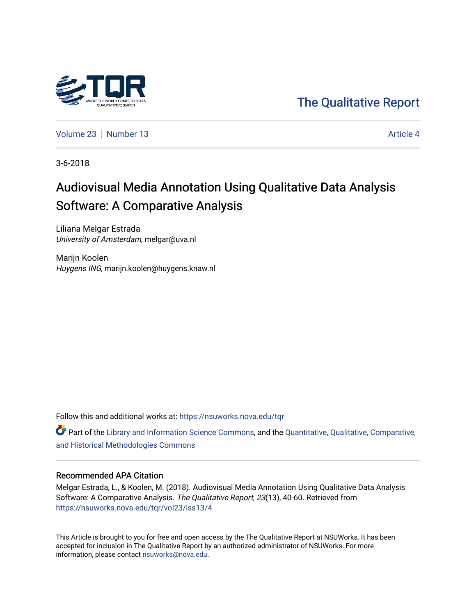

[The Qualitative Report](https://nsuworks.nova.edu/tqr) 

[Volume 23](https://nsuworks.nova.edu/tqr/vol23) [Number 13](https://nsuworks.nova.edu/tqr/vol23/iss13) Article 4

3-6-2018

# Audiovisual Media Annotation Using Qualitative Data Analysis Software: A Comparative Analysis

Liliana Melgar Estrada University of Amsterdam, melgar@uva.nl

Marijn Koolen Huygens ING, marijn.koolen@huygens.knaw.nl

Follow this and additional works at: [https://nsuworks.nova.edu/tqr](https://nsuworks.nova.edu/tqr?utm_source=nsuworks.nova.edu%2Ftqr%2Fvol23%2Fiss13%2F4&utm_medium=PDF&utm_campaign=PDFCoverPages) 

 $\bullet$  Part of the [Library and Information Science Commons,](http://network.bepress.com/hgg/discipline/1018?utm_source=nsuworks.nova.edu%2Ftqr%2Fvol23%2Fiss13%2F4&utm_medium=PDF&utm_campaign=PDFCoverPages) and the Quantitative, Qualitative, Comparative, [and Historical Methodologies Commons](http://network.bepress.com/hgg/discipline/423?utm_source=nsuworks.nova.edu%2Ftqr%2Fvol23%2Fiss13%2F4&utm_medium=PDF&utm_campaign=PDFCoverPages)

#### Recommended APA Citation

Melgar Estrada, L., & Koolen, M. (2018). Audiovisual Media Annotation Using Qualitative Data Analysis Software: A Comparative Analysis. The Qualitative Report, 23(13), 40-60. Retrieved from [https://nsuworks.nova.edu/tqr/vol23/iss13/4](https://nsuworks.nova.edu/tqr/vol23/iss13/4?utm_source=nsuworks.nova.edu%2Ftqr%2Fvol23%2Fiss13%2F4&utm_medium=PDF&utm_campaign=PDFCoverPages) 

This Article is brought to you for free and open access by the The Qualitative Report at NSUWorks. It has been accepted for inclusion in The Qualitative Report by an authorized administrator of NSUWorks. For more information, please contact [nsuworks@nova.edu.](mailto:nsuworks@nova.edu)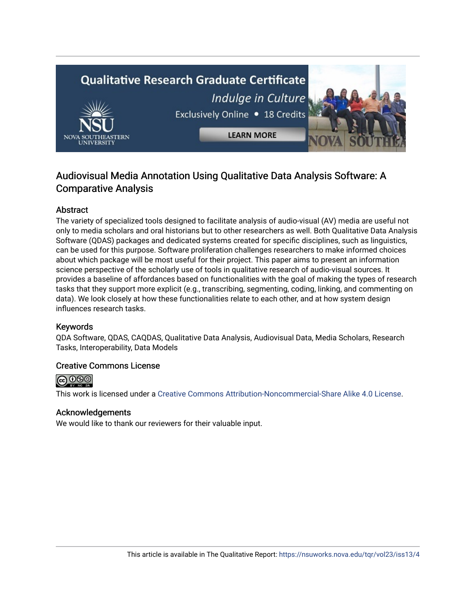# **Qualitative Research Graduate Certificate** Indulge in Culture Exclusively Online . 18 Credits **LEARN MORE**

# Audiovisual Media Annotation Using Qualitative Data Analysis Software: A Comparative Analysis

## Abstract

The variety of specialized tools designed to facilitate analysis of audio-visual (AV) media are useful not only to media scholars and oral historians but to other researchers as well. Both Qualitative Data Analysis Software (QDAS) packages and dedicated systems created for specific disciplines, such as linguistics, can be used for this purpose. Software proliferation challenges researchers to make informed choices about which package will be most useful for their project. This paper aims to present an information science perspective of the scholarly use of tools in qualitative research of audio-visual sources. It provides a baseline of affordances based on functionalities with the goal of making the types of research tasks that they support more explicit (e.g., transcribing, segmenting, coding, linking, and commenting on data). We look closely at how these functionalities relate to each other, and at how system design influences research tasks.

#### Keywords

QDA Software, QDAS, CAQDAS, Qualitative Data Analysis, Audiovisual Data, Media Scholars, Research Tasks, Interoperability, Data Models

#### Creative Commons License



This work is licensed under a [Creative Commons Attribution-Noncommercial-Share Alike 4.0 License](https://creativecommons.org/licenses/by-nc-sa/4.0/).

#### Acknowledgements

We would like to thank our reviewers for their valuable input.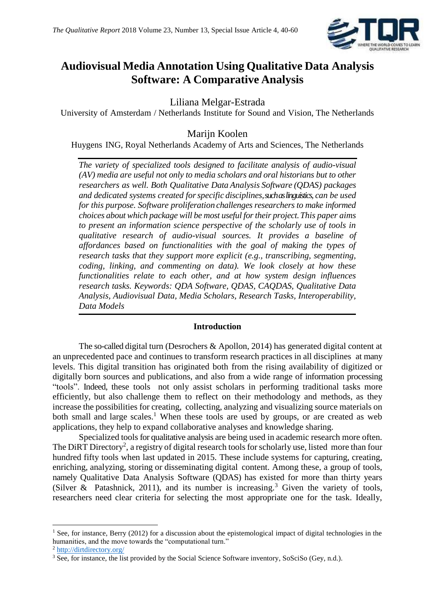

# **Audiovisual Media Annotation Using Qualitative Data Analysis Software: A Comparative Analysis**

Liliana Melgar-Estrada

University of Amsterdam / Netherlands Institute for Sound and Vision, The Netherlands

# Marijn Koolen

Huygens ING, Royal Netherlands Academy of Arts and Sciences, The Netherlands

*The variety of specialized tools designed to facilitate analysis of audio-visual (AV) media are useful not only to media scholars and oral historians but to other researchers as well. Both Qualitative Data Analysis Software (QDAS) packages and dedicated systems created forspecific disciplines, such as linguistics, can be used for this purpose. Software proliferation challenges researchers to make informed choices about which package will be most useful for their project.This paper aims to present an information science perspective of the scholarly use of tools in qualitative research of audio-visual sources. It provides a baseline of affordances based on functionalities with the goal of making the types of research tasks that they support more explicit (e.g., transcribing, segmenting, coding, linking, and commenting on data). We look closely at how these functionalities relate to each other, and at how system design influences research tasks. Keywords: QDA Software, QDAS, CAQDAS, Qualitative Data Analysis, Audiovisual Data, Media Scholars, Research Tasks, Interoperability, Data Models*

#### **Introduction**

The so-called digital turn (Desrochers & Apollon, 2014) has generated digital content at an unprecedented pace and continues to transform research practices in all disciplines at many levels. This digital transition has originated both from the rising availability of digitized or digitally born sources and publications, and also from a wide range of information processing "tools". Indeed, these tools not only assist scholars in performing traditional tasks more efficiently, but also challenge them to reflect on their methodology and methods, as they increase the possibilities for creating, collecting, analyzing and visualizing source materials on both small and large scales.<sup>1</sup> When these tools are used by groups, or are created as web applications, they help to expand collaborative analyses and knowledge sharing.

Specialized tools for qualitative analysis are being used in academic research more often. The DiRT Directory<sup>2</sup>, a registry of digital research tools for scholarly use, listed more than four hundred fifty tools when last updated in 2015. These include systems for capturing, creating, enriching, analyzing, storing or disseminating digital content. Among these, a group of tools, namely Qualitative Data Analysis Software (QDAS) has existed for more than thirty years (Silver & Patashnick, 2011), and its number is increasing.<sup>3</sup> Given the variety of tools, researchers need clear criteria for selecting the most appropriate one for the task. Ideally,

**.** 

<sup>&</sup>lt;sup>1</sup> See, for instance, Berry (2012) for a discussion about the epistemological impact of digital technologies in the humanities, and the move towards the "computational turn."

<sup>2</sup> <http://dirtdirectory.org/>

<sup>&</sup>lt;sup>3</sup> See, for instance, the list provided by the Social Science Software inventory, SoSciSo (Gey, n.d.).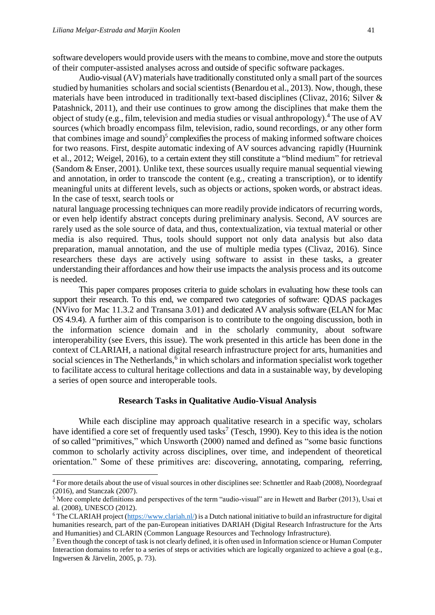**.** 

software developers would provide users with the means to combine, move and store the outputs of their computer-assisted analyses across and outside of specific software packages.

Audio-visual (AV) materials have traditionally constituted only a small part of the sources studied by humanities scholars and social scientists (Benardou et al., 2013). Now, though, these materials have been introduced in traditionally text-based disciplines (Clivaz, 2016; Silver & Patashnick, 2011), and their use continues to grow among the disciplines that make them the object of study (e.g., film, television and media studies or visual anthropology).<sup>4</sup> The use of AV sources (which broadly encompass film, television, radio, sound recordings, or any other form that combines image and sound) $5$  complexifies the process of making informed software choices for two reasons. First, despite automatic indexing of AV sources advancing rapidly (Huurnink et al., 2012; Weigel, 2016), to a certain extent they still constitute a "blind medium" for retrieval (Sandom & Enser, 2001). Unlike text, these sources usually require manual sequential viewing and annotation, in order to transcode the content (e.g., creating a transcription), or to identify meaningful units at different levels, such as objects or actions, spoken words, or abstract ideas. In the case of tesxt, search tools or

natural language processing techniques can more readily provide indicators of recurring words, or even help identify abstract concepts during preliminary analysis. Second, AV sources are rarely used as the sole source of data, and thus, contextualization, via textual material or other media is also required. Thus, tools should support not only data analysis but also data preparation, manual annotation, and the use of multiple media types (Clivaz, 2016). Since researchers these days are actively using software to assist in these tasks, a greater understanding their affordances and how their use impacts the analysis process and its outcome is needed.

This paper compares proposes criteria to guide scholars in evaluating how these tools can support their research. To this end, we compared two categories of software: QDAS packages (NVivo for Mac 11.3.2 and Transana 3.01) and dedicated AV analysis software (ELAN for Mac OS 4.9.4). A further aim of this comparison is to contribute to the ongoing discussion, both in the information science domain and in the scholarly community, about software interoperability (see Evers, this issue). The work presented in this article has been done in the context of CLARIAH, a national digital research infrastructure project for arts, humanities and social sciences in The Netherlands,<sup>6</sup> in which scholars and information specialist work together to facilitate access to cultural heritage collections and data in a sustainable way, by developing a series of open source and interoperable tools.

#### **Research Tasks in Qualitative Audio-Visual Analysis**

While each discipline may approach qualitative research in a specific way, scholars have identified a core set of frequently used tasks<sup>7</sup> (Tesch, 1990). Key to this idea is the notion of so called "primitives," which Unsworth (2000) named and defined as "some basic functions common to scholarly activity across disciplines, over time, and independent of theoretical orientation." Some of these primitives are: discovering, annotating, comparing, referring,

<sup>&</sup>lt;sup>4</sup> For more details about the use of visual sources in other disciplines see: Schnettler and Raab (2008), Noordegraaf (2016), and Stanczak (2007).

 $5$  More complete definitions and perspectives of the term "audio-visual" are in Hewett and Barber (2013), Usai et al. (2008), UNESCO (2012).

 $6$  The CLARIAH project [\(https://www.clariah.nl/\)](https://www.clariah.nl/) is a Dutch national initiative to build an infrastructure for digital humanities research, part of the pan-European initiatives DARIAH (Digital Research Infrastructure for the Arts and Humanities) and CLARIN (Common Language Resources and Technology Infrastructure).

<sup>7</sup> Even though the concept of task is not clearly defined, it is often used in Information science or Human Computer Interaction domains to refer to a series of steps or activities which are logically organized to achieve a goal (e.g., Ingwersen & Järvelin, 2005, p. 73).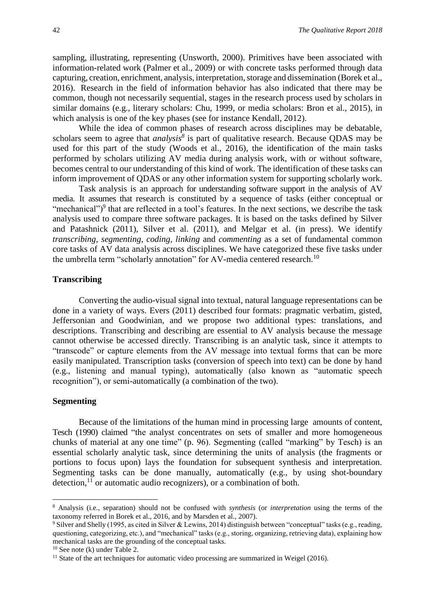sampling, illustrating, representing (Unsworth, 2000). Primitives have been associated with information-related work (Palmer et al., 2009) or with concrete tasks performed through data capturing, creation, enrichment, analysis, interpretation, storage and dissemination (Borek et al., 2016). Research in the field of information behavior has also indicated that there may be common, though not necessarily sequential, stages in the research process used by scholars in similar domains (e.g., literary scholars: Chu, 1999, or media scholars: Bron et al., 2015), in which analysis is one of the key phases (see for instance Kendall, 2012).

While the idea of common phases of research across disciplines may be debatable, scholars seem to agree that *analysis<sup>8</sup>* is part of qualitative research. Because QDAS may be used for this part of the study (Woods et al., 2016), the identification of the main tasks performed by scholars utilizing AV media during analysis work, with or without software, becomes central to our understanding of this kind of work. The identification of these tasks can inform improvement of QDAS or any other information system for supporting scholarly work.

Task analysis is an approach for understanding software support in the analysis of AV media. It assumes that research is constituted by a sequence of tasks (either conceptual or "mechanical")<sup>9</sup> that are reflected in a tool's features. In the next sections, we describe the task analysis used to compare three software packages. It is based on the tasks defined by Silver and Patashnick (2011), Silver et al. (2011), and Melgar et al. (in press). We identify *transcribing*, *segmenting*, *coding*, *linking* and *commenting* as a set of fundamental common core tasks of AV data analysis across disciplines. We have categorized these five tasks under the umbrella term "scholarly annotation" for AV-media centered research.<sup>10</sup>

#### **Transcribing**

Converting the audio-visual signal into textual, natural language representations can be done in a variety of ways. Evers (2011) described four formats: pragmatic verbatim, gisted, Jeffersonian and Goodwinian, and we propose two additional types: translations, and descriptions. Transcribing and describing are essential to AV analysis because the message cannot otherwise be accessed directly. Transcribing is an analytic task, since it attempts to "transcode" or capture elements from the AV message into textual forms that can be more easily manipulated. Transcription tasks (conversion of speech into text) can be done by hand (e.g., listening and manual typing), automatically (also known as "automatic speech recognition"), or semi-automatically (a combination of the two).

#### **Segmenting**

**.** 

Because of the limitations of the human mind in processing large amounts of content, Tesch (1990) claimed "the analyst concentrates on sets of smaller and more homogeneous chunks of material at any one time" (p. 96). Segmenting (called "marking" by Tesch) is an essential scholarly analytic task, since determining the units of analysis (the fragments or portions to focus upon) lays the foundation for subsequent synthesis and interpretation. Segmenting tasks can be done manually, automatically (e.g., by using shot-boundary detection, $^{11}$  or automatic audio recognizers), or a combination of both.

<sup>8</sup> Analysis (i.e., separation) should not be confused with *synthesis* (or *interpretation* using the terms of the taxonomy referred in Borek et al., 2016, and by Marsden et al., 2007).

<sup>9</sup> Silver and Shelly (1995, as cited in Silver & Lewins, 2014) distinguish between "conceptual" tasks (e.g., reading, questioning, categorizing, etc.), and "mechanical" tasks (e.g., storing, organizing, retrieving data), explaining how mechanical tasks are the grounding of the conceptual tasks.

 $10$  See note (k) under Table 2.

 $11$  State of the art techniques for automatic video processing are summarized in Weigel (2016).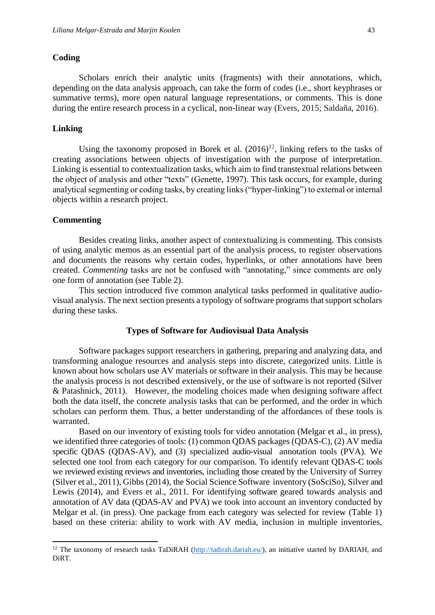#### **Coding**

Scholars enrich their analytic units (fragments) with their annotations, which, depending on the data analysis approach, can take the form of codes (i.e., short keyphrases or summative terms), more open natural language representations, or comments. This is done during the entire research process in a cyclical, non-linear way (Evers, 2015; Saldaña, 2016).

#### **Linking**

Using the taxonomy proposed in Borek et al.  $(2016)^{12}$ , linking refers to the tasks of creating associations between objects of investigation with the purpose of interpretation. Linking is essential to contextualization tasks, which aim to find transtextual relations between the object of analysis and other "texts" (Genette, 1997). This task occurs, for example, during analytical segmenting or coding tasks, by creating links ("hyper-linking") to external or internal objects within a research project.

#### **Commenting**

**.** 

Besides creating links, another aspect of contextualizing is commenting. This consists of using analytic memos as an essential part of the analysis process, to register observations and documents the reasons why certain codes, hyperlinks, or other annotations have been created. *Commenting* tasks are not be confused with "annotating," since comments are only one form of annotation (see Table 2).

This section introduced five common analytical tasks performed in qualitative audiovisual analysis. The next section presents a typology of software programs that support scholars during these tasks.

#### **Types of Software for Audiovisual Data Analysis**

Software packages support researchers in gathering, preparing and analyzing data, and transforming analogue resources and analysis steps into discrete, categorized units. Little is known about how scholars use AV materials or software in their analysis. This may be because the analysis process is not described extensively, or the use of software is not reported (Silver & Patashnick, 2011). However, the modeling choices made when designing software affect both the data itself, the concrete analysis tasks that can be performed, and the order in which scholars can perform them. Thus, a better understanding of the affordances of these tools is warranted.

Based on our inventory of existing tools for video annotation (Melgar et al., in press), we identified three categories of tools: (1) common QDAS packages (QDAS-C), (2) AV media specific QDAS (QDAS-AV), and (3) specialized audio-visual annotation tools (PVA). We selected one tool from each category for our comparison. To identify relevant QDAS-C tools we reviewed existing reviews and inventories, including those created by the University of Surrey (Silver et al., 2011), Gibbs (2014), the Social Science Software inventory (SoSciSo), Silver and Lewis (2014), and Evers et al., 2011. For identifying software geared towards analysis and annotation of AV data (QDAS-AV and PVA) we took into account an inventory conducted by Melgar et al. (in press). One package from each category was selected for review (Table 1) based on these criteria: ability to work with AV media, inclusion in multiple inventories,

<sup>&</sup>lt;sup>12</sup> The taxonomy of research tasks TaDiRAH [\(http://tadirah.dariah.eu/\)](http://tadirah.dariah.eu/), an initiative started by DARIAH, and DiRT.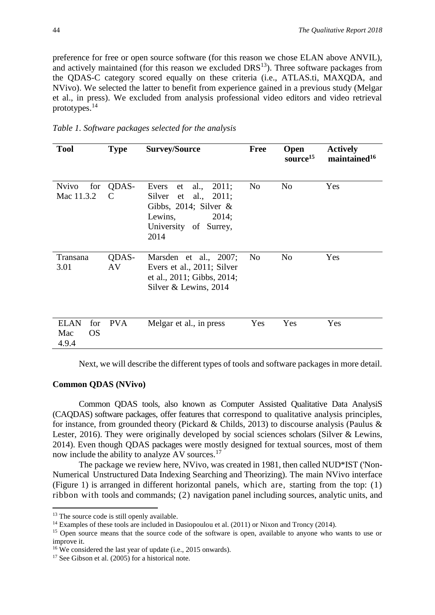preference for free or open source software (for this reason we chose ELAN above ANVIL), and actively maintained (for this reason we excluded  $DRS<sup>13</sup>$ ). Three software packages from the QDAS-C category scored equally on these criteria (i.e., ATLAS.ti, MAXQDA, and NVivo). We selected the latter to benefit from experience gained in a previous study (Melgar et al., in press). We excluded from analysis professional video editors and video retrieval prototypes.<sup>14</sup>

| Table 1. Software packages selected for the analysis |  |  |
|------------------------------------------------------|--|--|
|                                                      |  |  |

| <b>Tool</b>                                     | <b>Type</b> | <b>Survey/Source</b>                                                                                                                          | <b>Free</b>    | <b>Open</b><br>source <sup>15</sup> | <b>Actively</b><br>maintained <sup>16</sup> |
|-------------------------------------------------|-------------|-----------------------------------------------------------------------------------------------------------------------------------------------|----------------|-------------------------------------|---------------------------------------------|
| <b>Nvivo</b><br>for<br>Mac 11.3.2               | QDAS-<br>C  | al.,<br>2011;<br>Evers<br>et<br>Silver<br>al., $2011;$<br>et<br>Gibbs, 2014; Silver $\&$<br>Lewins,<br>2014;<br>University of Surrey,<br>2014 | N <sub>0</sub> | N <sub>0</sub>                      | Yes                                         |
| Transana<br>3.01                                | QDAS-<br>AV | Marsden et al., 2007;<br>Evers et al., 2011; Silver<br>et al., 2011; Gibbs, 2014;<br>Silver & Lewins, 2014                                    | No             | N <sub>o</sub>                      | Yes                                         |
| <b>ELAN</b><br>for<br>Mac<br><b>OS</b><br>4.9.4 | <b>PVA</b>  | Melgar et al., in press                                                                                                                       | Yes            | Yes                                 | Yes                                         |

Next, we will describe the different types of tools and software packages in more detail.

#### **Common QDAS (NVivo)**

Common QDAS tools, also known as Computer Assisted Qualitative Data AnalysiS (CAQDAS) software packages, offer features that correspond to qualitative analysis principles, for instance, from grounded theory (Pickard & Childs, 2013) to discourse analysis (Paulus & Lester, 2016). They were originally developed by social sciences scholars (Silver & Lewins, 2014). Even though QDAS packages were mostly designed for textual sources, most of them now include the ability to analyze AV sources.<sup>17</sup>

The package we review here, NVivo, was created in 1981, then called NUD\*IST ('Non-Numerical Unstructured Data Indexing Searching and Theorizing). The main NVivo interface (Figure 1) is arranged in different horizontal panels, which are, starting from the top: (1) ribbon with tools and commands; (2) navigation panel including sources, analytic units, and

1

<sup>&</sup>lt;sup>13</sup> The source code is still openly available.

 $14$  Examples of these tools are included in Dasiopoulou et al. (2011) or Nixon and Troncy (2014).

<sup>&</sup>lt;sup>15</sup> Open source means that the source code of the software is open, available to anyone who wants to use or improve it.

<sup>&</sup>lt;sup>16</sup> We considered the last year of update (i.e., 2015 onwards).

<sup>&</sup>lt;sup>17</sup> See Gibson et al. (2005) for a historical note.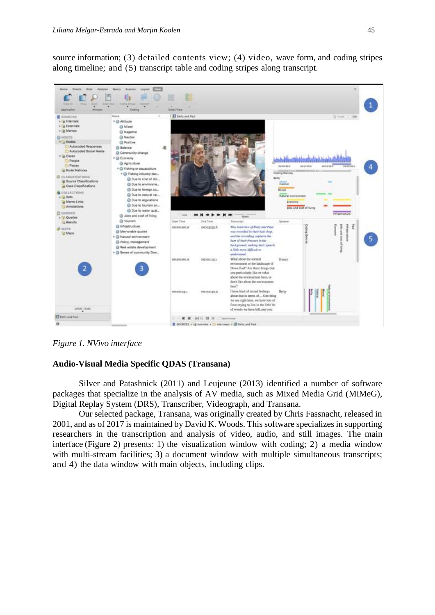source information; (3) detailed contents view; (4) video, wave form, and coding stripes along timeline; and (5) transcript table and coding stripes along transcript.



*Figure 1. NVivo interface*

#### **Audio-Visual Media Specific QDAS (Transana)**

Silver and Patashnick (2011) and Leujeune (2013) identified a number of software packages that specialize in the analysis of AV media, such as Mixed Media Grid (MiMeG), Digital Replay System (DRS), Transcriber, Videograph, and Transana.

Our selected package, Transana, was originally created by Chris Fassnacht, released in 2001, and as of 2017 is maintained by David K. Woods. This software specializes in supporting researchers in the transcription and analysis of video, audio, and still images. The main interface (Figure 2) presents: 1) the visualization window with coding; 2) a media window with multi-stream facilities; 3) a document window with multiple simultaneous transcripts; and 4) the data window with main objects, including clips.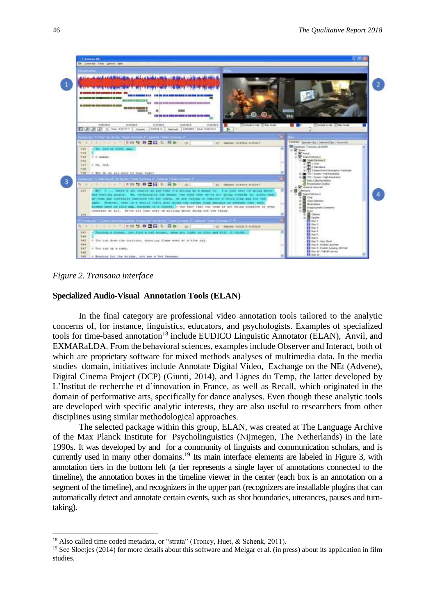

*Figure 2. Transana interface*

1

#### **Specialized Audio-Visual Annotation Tools (ELAN)**

In the final category are professional video annotation tools tailored to the analytic concerns of, for instance, linguistics, educators, and psychologists. Examples of specialized tools for time-based annotation<sup>18</sup> include EUDICO Linguistic Annotator (ELAN), Anvil, and EXMARaLDA. From the behavioral sciences, examples include Observer and Interact, both of which are proprietary software for mixed methods analyses of multimedia data. In the media studies domain, initiatives include Annotate Digital Video, Exchange on the NEt (Advene), Digital Cinema Project (DCP) (Giunti, 2014), and Lignes du Temp, the latter developed by L'Institut de recherche et d'innovation in France, as well as Recall, which originated in the domain of performative arts, specifically for dance analyses. Even though these analytic tools are developed with specific analytic interests, they are also useful to researchers from other disciplines using similar methodological approaches.

The selected package within this group, ELAN, was created at The Language Archive of the Max Planck Institute for Psycholinguistics (Nijmegen, The Netherlands) in the late 1990s. It was developed by and for a community of linguists and communication scholars, and is currently used in many other domains.<sup>19</sup> Its main interface elements are labeled in Figure 3, with annotation tiers in the bottom left (a tier represents a single layer of annotations connected to the timeline), the annotation boxes in the timeline viewer in the center (each box is an annotation on a segment of the timeline), and recognizers in the upper part (recognizers are installable plugins that can automatically detect and annotate certain events, such as shot boundaries, utterances, pauses and turntaking).

<sup>&</sup>lt;sup>18</sup> Also called time coded metadata, or "strata" (Troncy, Huet, & Schenk, 2011).

 $19$  See Sloeties (2014) for more details about this software and Melgar et al. (in press) about its application in film studies.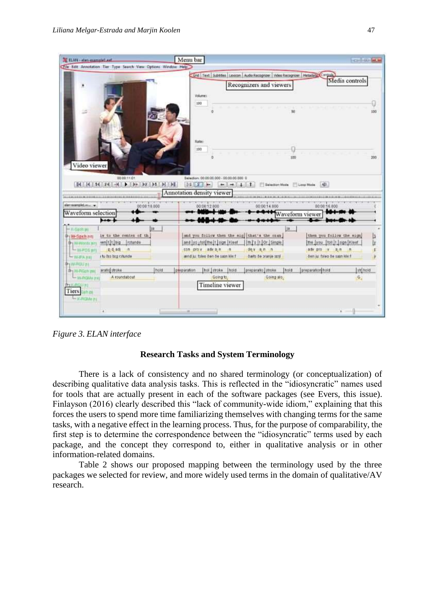| 2. ILAN - elan-esample) auf                                                                                     |                                                                                              | Menu bar                                                            |                                                                                                    |                                                                                                                           | <b>COMPANY AND</b>                                                                                      |            |
|-----------------------------------------------------------------------------------------------------------------|----------------------------------------------------------------------------------------------|---------------------------------------------------------------------|----------------------------------------------------------------------------------------------------|---------------------------------------------------------------------------------------------------------------------------|---------------------------------------------------------------------------------------------------------|------------|
|                                                                                                                 | Chie Edit Annotation Tier Type Search View Options Window Help                               |                                                                     |                                                                                                    |                                                                                                                           |                                                                                                         |            |
|                                                                                                                 |                                                                                              | 100                                                                 | Volumes:                                                                                           | Crid Text   Subtitles   Lexicon   Audio Recognizer   Video Recognizer   Matadata Control<br>Recognizers and viewers       | Media controls                                                                                          |            |
| Video viewer                                                                                                    | 00:00 11:01<br>$  A   +   A   +   A   +   A   +   b   +   b   +   b   +   b  $               | <b>Harter:</b><br>100<br>$1.5 + 2.1 -$<br>Annotation density viewer | ō<br>Beledien: 00:00:00:000 - 00:00:00:000 0<br>$-1 - 1 - 1$                                       | 50<br>100<br>Selection Mode SLoop Mode                                                                                    | 1401                                                                                                    | 100<br>200 |
| 4-444445-8-4010-0-4-412124405-8-30222                                                                           |                                                                                              |                                                                     |                                                                                                    |                                                                                                                           |                                                                                                         |            |
| electromagniture<br>Waveform selection                                                                          | 00:00:10.000                                                                                 |                                                                     | 00:00:12.000                                                                                       | 00:00:14.000                                                                                                              | 00:00:16.00<br><b>Waveform</b> viewer                                                                   |            |
|                                                                                                                 |                                                                                              |                                                                     |                                                                                                    |                                                                                                                           |                                                                                                         |            |
| $-$ #>5 pixits per<br>0-1W-Sach nm<br><b>Dry WANNeds's</b><br>THE REPORT OF                                     | ja<br>is to the renter of the<br>wm tit big<br>rotunde<br>g d adj n<br>i tu des birg ratunde |                                                                     | and  yo _totl the  t   tign   Kleef<br>con prov adra n<br>$+0$<br>lend ju: tsleo čen če sazn kle f | ja:<br>and you follow then the sig that's the oran  <br>It   It   Or   Single<br>dev an n<br><b>darts de pranie strat</b> | then you follow the sign)<br>the you [toil]t [sign Kleef<br>adv pro v an n<br>den as fotog de sam kleif | b<br>Ŀ     |
| <b>LWEART</b>                                                                                                   |                                                                                              |                                                                     |                                                                                                    |                                                                                                                           |                                                                                                         |            |
| <b>PIWROUGH</b><br>动yVi-RGchim<br><b>L. W.ROMe met</b><br><b>BYK-FIGURI</b><br>Tiers on m<br>- 31.41 Division 1 | aratio stroke<br>A roundabout                                                                | held<br>perparation                                                 | hot Jatroke<br>Itraid<br>Going to<br>Timeline viewer                                               | proparatio   stroke<br>Inold<br>Going alo                                                                                 | stribula<br>preparation hold<br>G,                                                                      |            |

*Figure 3. ELAN interface*

#### **Research Tasks and System Terminology**

There is a lack of consistency and no shared terminology (or conceptualization) of describing qualitative data analysis tasks. This is reflected in the "idiosyncratic" names used for tools that are actually present in each of the software packages (see Evers, this issue). Finlayson (2016) clearly described this "lack of community-wide idiom," explaining that this forces the users to spend more time familiarizing themselves with changing terms for the same tasks, with a negative effect in the learning process. Thus, for the purpose of comparability, the first step is to determine the correspondence between the "idiosyncratic" terms used by each package, and the concept they correspond to, either in qualitative analysis or in other information-related domains.

Table 2 shows our proposed mapping between the terminology used by the three packages we selected for review, and more widely used terms in the domain of qualitative/AV research.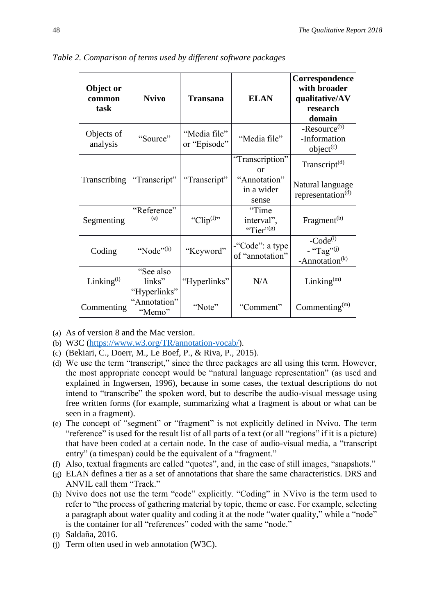| Object or<br>common<br>task | <b>Nvivo</b>                        | <b>Transana</b>              | <b>ELAN</b>                         | Correspondence<br>with broader<br>qualitative/AV<br>research<br>domain |
|-----------------------------|-------------------------------------|------------------------------|-------------------------------------|------------------------------------------------------------------------|
| Objects of<br>analysis      | "Source"                            | "Media file"<br>or "Episode" | "Media file"                        | -Resource <sup>(b)</sup><br>-Information<br>object <sup>(c)</sup>      |
|                             |                                     |                              | "Transcription"<br>$\alpha$         | Transcript <sup>(d)</sup>                                              |
| Transcribing                | "Transcript"                        | "Transcript"                 | "Annotation"<br>in a wider<br>sense | Natural language<br>representation $(d)$                               |
| Segmenting                  | "Reference"<br>(e)                  | "Clip <sup>(f)</sup> "       | "Time<br>interval",<br>"Tier" $(s)$ | Fragment <sup>(b)</sup>                                                |
| Coding                      | "Node" $(h)$                        | "Keyword"                    | -"Code": a type<br>of "annotation"  | $-Code^{(i)}$<br>- "Tag" <sup>(j)</sup><br>-Annotation <sup>(k)</sup>  |
| Linking <sup>(1)</sup>      | "See also<br>links"<br>"Hyperlinks" | "Hyperlinks"                 | N/A                                 | Linking $(m)$                                                          |
| Commenting                  | "Annotation"<br>"Memo"              | "Note"                       | "Comment"                           | Commenting $(m)$                                                       |

*Table 2. Comparison of terms used by different software packages*

(a) As of version 8 and the Mac version.

- (b) W3C [\(https://www.w3.org/TR/annotation-vocab/\)](https://www.w3.org/TR/annotation-vocab/).
- (c) (Bekiari, C., Doerr, M., Le Boef, P., & Riva, P., 2015).
- (d) We use the term "transcript," since the three packages are all using this term. However, the most appropriate concept would be "natural language representation" (as used and explained in Ingwersen, 1996), because in some cases, the textual descriptions do not intend to "transcribe" the spoken word, but to describe the audio-visual message using free written forms (for example, summarizing what a fragment is about or what can be seen in a fragment).
- (e) The concept of "segment" or "fragment" is not explicitly defined in Nvivo. The term "reference" is used for the result list of all parts of a text (or all "regions" if it is a picture) that have been coded at a certain node. In the case of audio-visual media, a "transcript entry" (a timespan) could be the equivalent of a "fragment."
- (f) Also, textual fragments are called "quotes", and, in the case of still images, "snapshots."
- (g) ELAN defines a tier as a set of annotations that share the same characteristics. DRS and ANVIL call them "Track."
- (h) Nvivo does not use the term "code" explicitly. "Coding" in NVivo is the term used to refer to "the process of gathering material by topic, theme or case. For example, selecting a paragraph about water quality and coding it at the node "water quality," while a "node" is the container for all "references" coded with the same "node."
- (i) Saldaña, 2016.
- (j) Term often used in web annotation (W3C).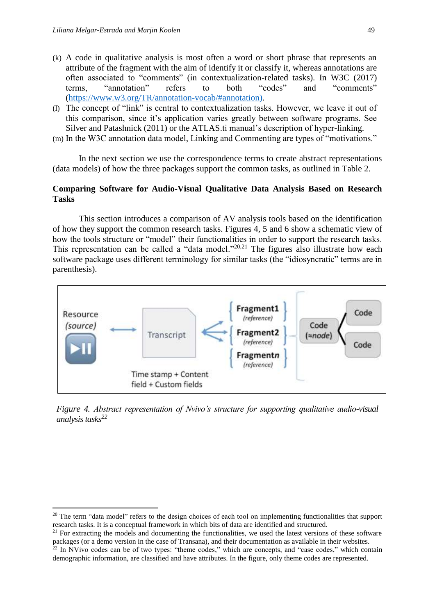1

- (k) A code in qualitative analysis is most often a word or short phrase that represents an attribute of the fragment with the aim of identify it or classify it, whereas annotations are often associated to "comments" (in contextualization-related tasks). In W3C (2017) terms, "annotation" refers to both "codes" and "comments" [\(https://www.w3.org/TR/annotation-vocab/#annotation\).](https://www.w3.org/TR/annotation-vocab/#annotation))
- (l) The concept of "link" is central to contextualization tasks. However, we leave it out of this comparison, since it's application varies greatly between software programs. See Silver and Patashnick (2011) or the ATLAS.ti manual's description of hyper-linking.
- (m) In the W3C annotation data model, Linking and Commenting are types of "motivations."

In the next section we use the correspondence terms to create abstract representations (data models) of how the three packages support the common tasks, as outlined in Table 2.

#### **Comparing Software for Audio-Visual Qualitative Data Analysis Based on Research Tasks**

This section introduces a comparison of AV analysis tools based on the identification of how they support the common research tasks. Figures 4, 5 and 6 show a schematic view of how the tools structure or "model" their functionalities in order to support the research tasks. This representation can be called a "data model."<sup>20,21</sup> The figures also illustrate how each software package uses different terminology for similar tasks (the "idiosyncratic" terms are in parenthesis).



*Figure 4. Abstract representation of Nvivo's structure for supporting qualitative audio-visual analysis tasks<sup>22</sup>*

<sup>&</sup>lt;sup>20</sup> The term "data model" refers to the design choices of each tool on implementing functionalities that support research tasks. It is a conceptual framework in which bits of data are identified and structured.

 $^{21}$  For extracting the models and documenting the functionalities, we used the latest versions of these software packages (or a demo version in the case of Transana), and their documentation as available in their websites.

 $22$  In NVivo codes can be of two types: "theme codes," which are concepts, and "case codes," which contain demographic information, are classified and have attributes. In the figure, only theme codes are represented.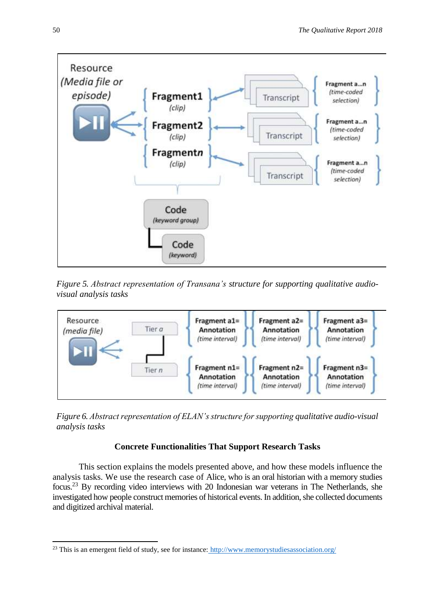

*Figure 5. Abstract representation of Transana's structure for supporting qualitative audiovisual analysis tasks*



*Figure 6. Abstract representation of ELAN's structure for supporting qualitative audio-visual analysis tasks*

## **Concrete Functionalities That Support Research Tasks**

This section explains the models presented above, and how these models influence the analysis tasks. We use the research case of Alice, who is an oral historian with a memory studies focus.<sup>23</sup> By recording video interviews with 20 Indonesian war veterans in The Netherlands, she investigated how people construct memories of historical events. In addition, she collected documents and digitized archival material.

**<sup>.</sup>** <sup>23</sup> This is an emergent field of study, see for instance: <http://www.memorystudiesassociation.org/>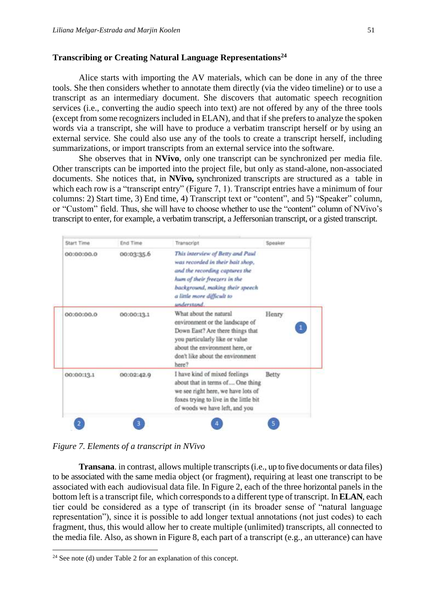#### **Transcribing or Creating Natural Language Representations<sup>24</sup>**

Alice starts with importing the AV materials, which can be done in any of the three tools. She then considers whether to annotate them directly (via the video timeline) or to use a transcript as an intermediary document. She discovers that automatic speech recognition services (i.e., converting the audio speech into text) are not offered by any of the three tools (except from some recognizers included in ELAN), and that if she prefers to analyze the spoken words via a transcript, she will have to produce a verbatim transcript herself or by using an external service. She could also use any of the tools to create a transcript herself, including summarizations, or import transcripts from an external service into the software.

She observes that in **NVivo**, only one transcript can be synchronized per media file. Other transcripts can be imported into the project file, but only as stand-alone, non-associated documents. She notices that, in **NVivo,** synchronized transcripts are structured as a table in which each row is a "transcript entry" (Figure 7, 1). Transcript entries have a minimum of four columns: 2) Start time, 3) End time, 4) Transcript text or "content", and 5) "Speaker" column, or "Custom" field. Thus, she will have to choose whether to use the "content" column of NVivo's transcript to enter, for example, a verbatim transcript, a Jeffersonian transcript, or a gisted transcript.

| Start Time   | End Time   | Transcript                                                                                                                                                                                                            | Speaker |
|--------------|------------|-----------------------------------------------------------------------------------------------------------------------------------------------------------------------------------------------------------------------|---------|
| 00:00:00.0   | 00:03:35.6 | This interview of Betty and Paul<br>was recorded in their bait shop,<br>and the recording captures the<br>hum of their freezers in the<br>background, making their speech<br>a little more difficult to<br>understand |         |
| 0.00:00:00.0 | 00:00:13.1 | What about the natural<br>environment or the landscape of<br>Down East? Are there things that<br>you particularly like or value<br>about the environment here, or<br>don't like about the environment<br>here?        | Henry   |
| 00:00:13.1   | 00:02:42.9 | I have kind of mixed feelings<br>about that in terms of One thing<br>we see right here, we have lots of<br>foxes trying to live in the little bit<br>of woods we have left, and you                                   | Betty   |
|              |            |                                                                                                                                                                                                                       |         |

*Figure 7. Elements of a transcript in NVivo*

**Transana**. in contrast, allows multiple transcripts(i.e., up to five documents or data files) to be associated with the same media object (or fragment), requiring at least one transcript to be associated with each audiovisual data file. In Figure 2, each of the three horizontal panels in the bottom left is a transcript file, which corresponds to a different type of transcript. In **ELAN**, each tier could be considered as a type of transcript (in its broader sense of "natural language representation"), since it is possible to add longer textual annotations (not just codes) to each fragment, thus, this would allow her to create multiple (unlimited) transcripts, all connected to the media file. Also, as shown in Figure 8, each part of a transcript (e.g., an utterance) can have

**.** 

 $24$  See note (d) under Table 2 for an explanation of this concept.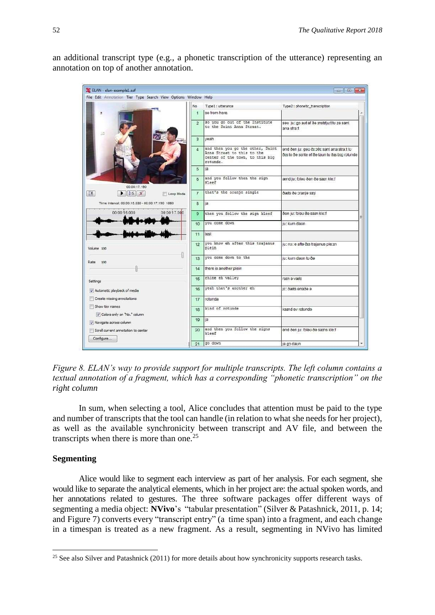an additional transcript type (e.g., a phonetic transcription of the utterance) representing an annotation on top of another annotation.

| ELAN - elan-example1.eaf                                        |                                                              | File Edit Annotation Tier Type Search View Options Window Help |                 |                                                                                                               | $\Box$ $\Box$ $\mathbf{x}$                                                                 |
|-----------------------------------------------------------------|--------------------------------------------------------------|----------------------------------------------------------------|-----------------|---------------------------------------------------------------------------------------------------------------|--------------------------------------------------------------------------------------------|
|                                                                 |                                                              |                                                                |                 |                                                                                                               |                                                                                            |
|                                                                 |                                                              | No.                                                            | $\overline{1}$  | Type 1 : utterance<br>so from here.                                                                           | Type2: phonetic_transcription                                                              |
|                                                                 |                                                              |                                                                |                 |                                                                                                               |                                                                                            |
|                                                                 |                                                              |                                                                | $\overline{2}$  | so you go out of the Institute<br>to the Saint Anna Straat.                                                   | seu ju: go aut ef de mstriju: tu ze sant<br>ana stra:t                                     |
|                                                                 |                                                              |                                                                | 3               | yeah                                                                                                          |                                                                                            |
|                                                                 |                                                              |                                                                | $\overline{A}$  | and then you go the other, Saint<br>Anna Straat to this to the<br>center of the town, to this big<br>rotunde. | end öen ju: geo ör oös sant ana stra:t to<br>ôts to ôe sente ef ôe taun tu ôts big rotunde |
|                                                                 |                                                              |                                                                | 5               | ia                                                                                                            |                                                                                            |
|                                                                 | 00:00:17.190                                                 |                                                                | $6\overline{6}$ | and you follow then the sign<br>Kleef                                                                         | ænd ju: foleu öen öe sam kle:f                                                             |
| $\sqrt{n}$                                                      | $\triangleright$ $\triangleright$ $\triangleright$ $\preceq$ | Loop Mode                                                      | $\overline{7}$  | that's the oranje single                                                                                      | ðæts ðe oranje sɪnl                                                                        |
| Time Interval: 00:00:15.330 - 00:00:17.190 1860                 |                                                              |                                                                | 8               | ja                                                                                                            |                                                                                            |
| 00:00:16.000                                                    |                                                              | 00:00:17.000                                                   | 9               | then you follow the sign kleef                                                                                | ðen ju: foleu ðe sam kle:f                                                                 |
|                                                                 |                                                              |                                                                | 10              | you come down                                                                                                 | ju: kwm daun                                                                               |
|                                                                 |                                                              |                                                                | 11              | test                                                                                                          |                                                                                            |
| Volume 100                                                      |                                                              |                                                                | 12              | you know eh after this trajanus<br>plein                                                                      | ju: no: e afte ôrs trajanus ple: in                                                        |
| Rate<br>100                                                     |                                                              |                                                                | 13              | you come down to the                                                                                          | ju: kvm daun tu ða                                                                         |
|                                                                 |                                                              |                                                                | 14              | there is another plein                                                                                        |                                                                                            |
| Settings                                                        |                                                              |                                                                | 15              | rhine eh valley                                                                                               | ratn e vælt                                                                                |
| V Automatic playback of media                                   |                                                              |                                                                | 16              | yeah that's another eh                                                                                        | ic: dæts enade e                                                                           |
| Create missing annotations                                      |                                                              |                                                                | 17              | rotunda                                                                                                       |                                                                                            |
| Show tier names                                                 |                                                              |                                                                | 18              | kind of rotunde                                                                                               | katnd av rotunda                                                                           |
| Colors only on 'No." column                                     |                                                              |                                                                | 19              | ja                                                                                                            |                                                                                            |
|                                                                 |                                                              |                                                                |                 | and then you follow the signs                                                                                 |                                                                                            |
| V Navigate across column<br>Scroll current annotation to center |                                                              |                                                                | 20              | kleef                                                                                                         | and õen ju: foleu õe sams kle:f                                                            |

*Figure 8. ELAN's way to provide support for multiple transcripts. The left column contains a textual annotation of a fragment, which has a corresponding "phonetic transcription" on the right column*

In sum, when selecting a tool, Alice concludes that attention must be paid to the type and number of transcripts that the tool can handle (in relation to what she needs for her project), as well as the available synchronicity between transcript and AV file, and between the transcripts when there is more than one.<sup>25</sup>

#### **Segmenting**

**.** 

Alice would like to segment each interview as part of her analysis. For each segment, she would like to separate the analytical elements, which in her project are: the actual spoken words, and her annotations related to gestures. The three software packages offer different ways of segmenting a media object: **NVivo**'s "tabular presentation" (Silver & Patashnick, 2011, p. 14; and Figure 7) converts every "transcript entry" (a time span) into a fragment, and each change in a timespan is treated as a new fragment. As a result, segmenting in NVivo has limited

 $25$  See also Silver and Patashnick (2011) for more details about how synchronicity supports research tasks.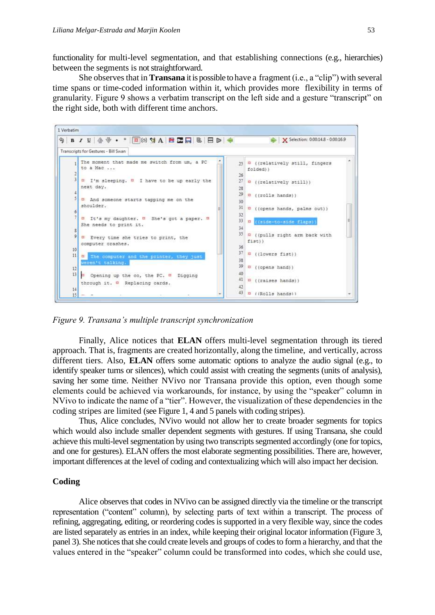functionality for multi-level segmentation, and that establishing connections (e.g., hierarchies) between the segments is not straightforward.

She observes that in **Transana** it is possible to have a fragment (i.e., a "clip") with several time spans or time-coded information within it, which provides more flexibility in terms of granularity. Figure 9 shows a verbatim transcript on the left side and a gesture "transcript" on the right side, both with different time anchors.



*Figure 9. Transana's multiple transcript synchronization*

Finally, Alice notices that **ELAN** offers multi-level segmentation through its tiered approach. That is, fragments are created horizontally, along the timeline, and vertically, across different tiers. Also, **ELAN** offers some automatic options to analyze the audio signal (e.g., to identify speaker turns or silences), which could assist with creating the segments (units of analysis), saving her some time. Neither NVivo nor Transana provide this option, even though some elements could be achieved via workarounds, for instance, by using the "speaker" column in NVivo to indicate the name of a "tier". However, the visualization of these dependencies in the coding stripes are limited (see Figure 1, 4 and 5 panels with coding stripes).

Thus, Alice concludes, NVivo would not allow her to create broader segments for topics which would also include smaller dependent segments with gestures. If using Transana, she could achieve this multi-level segmentation by using two transcripts segmented accordingly (one for topics, and one for gestures). ELAN offers the most elaborate segmenting possibilities. There are, however, important differences at the level of coding and contextualizing which will also impact her decision.

#### **Coding**

Alice observes that codes in NVivo can be assigned directly via the timeline or the transcript representation ("content" column), by selecting parts of text within a transcript. The process of refining, aggregating, editing, or reordering codes is supported in a very flexible way, since the codes are listed separately as entries in an index, while keeping their original locator information (Figure 3, panel 3). She notices that she could create levels and groups of codes to form a hierarchy, and that the values entered in the "speaker" column could be transformed into codes, which she could use,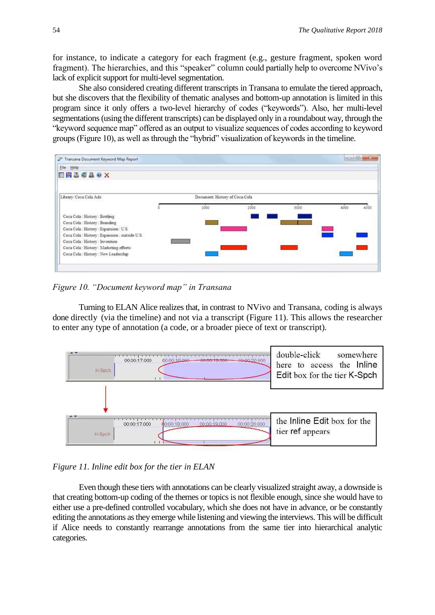for instance, to indicate a category for each fragment (e.g., gesture fragment, spoken word fragment). The hierarchies, and this "speaker" column could partially help to overcome NVivo's lack of explicit support for multi-level segmentation.

She also considered creating different transcripts in Transana to emulate the tiered approach, but she discovers that the flexibility of thematic analyses and bottom-up annotation is limited in this program since it only offers a two-level hierarchy of codes ("keywords"). Also, her multi-level segmentations (using the different transcripts) can be displayed only in a roundabout way, through the "keyword sequence map" offered as an output to visualize sequences of codes according to keyword groups (Figure 10), as well as through the "hybrid" visualization of keywords in the timeline.

| Transana Document Keyword Map Report<br>File Help<br><b>ERLOLOX</b> |                                |      |      | <b>SECRETARY AND IN</b> |
|---------------------------------------------------------------------|--------------------------------|------|------|-------------------------|
| Library: Coca Cola Ads                                              | Document: History of Coca-Cola |      |      |                         |
|                                                                     | 1000                           | 2000 | 3000 | 400<br>4500             |
| Coca Cola : History : Bottling                                      |                                |      |      |                         |
| Coca Cola : History : Branding                                      |                                |      |      |                         |
| Coca Cola : History : Expansion : U.S.                              |                                |      |      |                         |
| Coca Cola : History : Expansion : outside U.S.                      |                                |      |      |                         |
| Coca Cola : History : Invention                                     |                                |      |      |                         |
| Coca Cola : History : Marketing efforts                             |                                |      |      |                         |
|                                                                     |                                |      |      |                         |

*Figure 10. "Document keyword map" in Transana*

Turning to ELAN Alice realizes that, in contrast to NVivo and Transana, coding is always done directly (via the timeline) and not via a transcript (Figure 11). This allows the researcher to enter any type of annotation (a code, or a broader piece of text or transcript).



#### *Figure 11. Inline edit box for the tier in ELAN*

Even though these tiers with annotations can be clearly visualized straight away, a downside is that creating bottom-up coding of the themes or topics is not flexible enough, since she would have to either use a pre-defined controlled vocabulary, which she does not have in advance, or be constantly editing the annotations as they emerge while listening and viewing the interviews. This will be difficult if Alice needs to constantly rearrange annotations from the same tier into hierarchical analytic categories.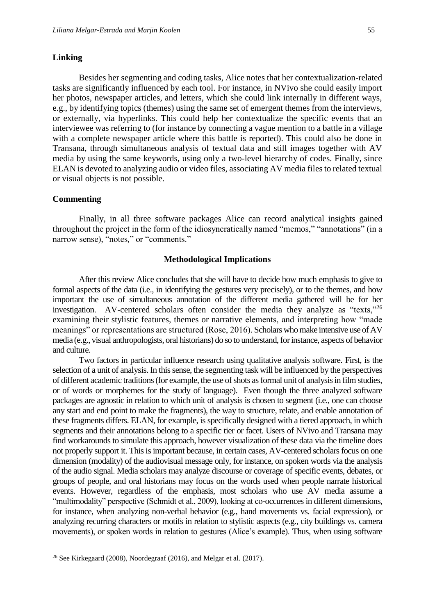Besides her segmenting and coding tasks, Alice notes that her contextualization-related tasks are significantly influenced by each tool. For instance, in NVivo she could easily import her photos, newspaper articles, and letters, which she could link internally in different ways, e.g., by identifying topics (themes) using the same set of emergent themes from the interviews, or externally, via hyperlinks. This could help her contextualize the specific events that an interviewee was referring to (for instance by connecting a vague mention to a battle in a village with a complete newspaper article where this battle is reported). This could also be done in Transana, through simultaneous analysis of textual data and still images together with AV media by using the same keywords, using only a two-level hierarchy of codes. Finally, since ELAN is devoted to analyzing audio or video files, associating AV media files to related textual or visual objects is not possible.

#### **Commenting**

**.** 

Finally, in all three software packages Alice can record analytical insights gained throughout the project in the form of the idiosyncratically named "memos," "annotations" (in a narrow sense), "notes," or "comments."

#### **Methodological Implications**

After this review Alice concludes that she will have to decide how much emphasis to give to formal aspects of the data (i.e., in identifying the gestures very precisely), or to the themes, and how important the use of simultaneous annotation of the different media gathered will be for her investigation. AV-centered scholars often consider the media they analyze as "texts,"<sup>26</sup> examining their stylistic features, themes or narrative elements, and interpreting how "made meanings" or representations are structured (Rose, 2016). Scholars who make intensive use of AV media (e.g., visual anthropologists, oral historians) do so to understand, for instance, aspects of behavior and culture.

Two factors in particular influence research using qualitative analysis software. First, is the selection of a unit of analysis. In this sense, the segmenting task will be influenced by the perspectives of different academic traditions (for example, the use of shots as formal unit of analysis in film studies, or of words or morphemes for the study of language). Even though the three analyzed software packages are agnostic in relation to which unit of analysis is chosen to segment (i.e., one can choose any start and end point to make the fragments), the way to structure, relate, and enable annotation of these fragments differs. ELAN, for example, is specifically designed with a tiered approach, in which segments and their annotations belong to a specific tier or facet. Users of NVivo and Transana may find workarounds to simulate this approach, however visualization of these data via the timeline does not properly support it. This is important because, in certain cases, AV-centered scholars focus on one dimension (modality) of the audiovisual message only, for instance, on spoken words via the analysis of the audio signal. Media scholars may analyze discourse or coverage of specific events, debates, or groups of people, and oral historians may focus on the words used when people narrate historical events. However, regardless of the emphasis, most scholars who use AV media assume a "multimodality" perspective (Schmidt et al., 2009), looking at co-occurrences in different dimensions, for instance, when analyzing non-verbal behavior (e.g., hand movements vs. facial expression), or analyzing recurring characters or motifs in relation to stylistic aspects (e.g., city buildings vs. camera movements), or spoken words in relation to gestures (Alice's example). Thus, when using software

 $26$  See Kirkegaard (2008), Noordegraaf (2016), and Melgar et al. (2017).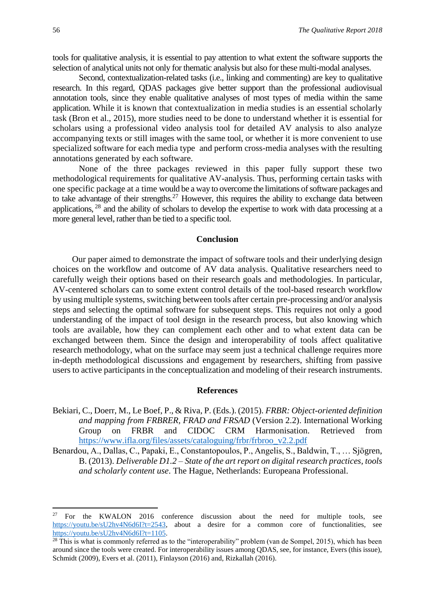tools for qualitative analysis, it is essential to pay attention to what extent the software supports the selection of analytical units not only for thematic analysis but also for these multi-modal analyses.

Second, contextualization-related tasks (i.e., linking and commenting) are key to qualitative research. In this regard, QDAS packages give better support than the professional audiovisual annotation tools, since they enable qualitative analyses of most types of media within the same application. While it is known that contextualization in media studies is an essential scholarly task (Bron et al., 2015), more studies need to be done to understand whether it is essential for scholars using a professional video analysis tool for detailed AV analysis to also analyze accompanying texts or still images with the same tool, or whether it is more convenient to use specialized software for each media type and perform cross-media analyses with the resulting annotations generated by each software.

None of the three packages reviewed in this paper fully support these two methodological requirements for qualitative AV-analysis. Thus, performing certain tasks with one specific package at a time would be a way to overcome the limitations of software packages and to take advantage of their strengths.<sup>27</sup> However, this requires the ability to exchange data between applications, <sup>28</sup> and the ability of scholars to develop the expertise to work with data processing at a more general level, rather than be tied to a specific tool.

#### **Conclusion**

Our paper aimed to demonstrate the impact of software tools and their underlying design choices on the workflow and outcome of AV data analysis. Qualitative researchers need to carefully weigh their options based on their research goals and methodologies. In particular, AV-centered scholars can to some extent control details of the tool-based research workflow by using multiple systems, switching between tools after certain pre-processing and/or analysis steps and selecting the optimal software for subsequent steps. This requires not only a good understanding of the impact of tool design in the research process, but also knowing which tools are available, how they can complement each other and to what extent data can be exchanged between them. Since the design and interoperability of tools affect qualitative research methodology, what on the surface may seem just a technical challenge requires more in-depth methodological discussions and engagement by researchers, shifting from passive users to active participants in the conceptualization and modeling of their research instruments.

#### **References**

Bekiari, C., Doerr, M., Le Boef, P., & Riva, P. (Eds.). (2015). *FRBR: Object-oriented definition and mapping from FRBRER, FRAD and FRSAD* (Version 2.2). International Working Group on FRBR and CIDOC CRM Harmonisation. Retrieved from [https://www.ifla.org/files/assets/cataloguing/frbr/frbroo\\_v2.2.pdf](https://www.ifla.org/files/assets/cataloguing/frbr/frbroo_v2.2.pdf)

Benardou, A., Dallas, C., Papaki, E., Constantopoulos, P., Angelis, S., Baldwin, T., … Sjögren, B. (2013). *Deliverable D1.2 – State of the art report on digital research practices, tools and scholarly content use*. The Hague, Netherlands: Europeana Professional.

<sup>27</sup> <sup>27</sup> For the KWALON 2016 conference discussion about the need for multiple tools, see [https://youtu.be/sU2hv4N6d6I?t=2543,](https://youtu.be/sU2hv4N6d6I?t=2543) about a desire for a common core of functionalities, see [https://youtu.be/sU2hv4N6d6I?t=1105.](https://youtu.be/sU2hv4N6d6I?t=1105)

 $28$  This is what is commonly referred as to the "interoperability" problem (van de Sompel, 2015), which has been around since the tools were created. For interoperability issues among QDAS, see, for instance, Evers (this issue), Schmidt (2009), Evers et al. (2011), Finlayson (2016) and, Rizkallah (2016).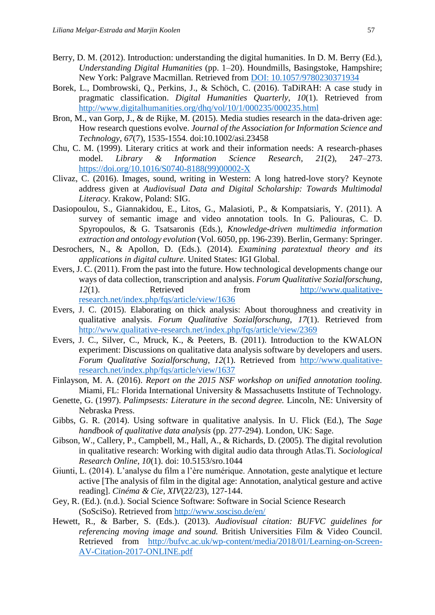- Berry, D. M. (2012). Introduction: understanding the digital humanities. In D. M. Berry (Ed.), *Understanding Digital Humanities* (pp. 1–20). Houndmills, Basingstoke, Hampshire; New York: Palgrave Macmillan. Retrieved from [DOI: 10.1057/9780230371934](doi:%2010.1057/9780230371934)
- Borek, L., Dombrowski, Q., Perkins, J., & Schöch, C. (2016). TaDiRAH: A case study in pragmatic classification. *Digital Humanities Quarterly, 10*(1). Retrieved from <http://www.digitalhumanities.org/dhq/vol/10/1/000235/000235.html>
- Bron, M., van Gorp, J., & de Rijke, M. (2015). Media studies research in the data-driven age: How research questions evolve. *Journal of the Association for Information Science and Technology, 67*(7), 1535-1554. doi:10.1002/asi.23458
- Chu, C. M. (1999). Literary critics at work and their information needs: A research-phases model. *Library & Information Science Research*, *21*(2), 247–273. [https://doi.org/10.1016/S0740-8188\(99\)00002-X](https://doi.org/10.1016/S0740-8188(99)00002-X)
- Clivaz, C. (2016). Images, sound, writing in Western: A long hatred-love story? Keynote address given at *Audiovisual Data and Digital Scholarship: Towards Multimodal Literacy*. Krakow, Poland: SIG.
- Dasiopoulou, S., Giannakidou, E., Litos, G., Malasioti, P., & Kompatsiaris, Y. (2011). A survey of semantic image and video annotation tools. In G. Paliouras, C. D. Spyropoulos, & G. Tsatsaronis (Eds.), *Knowledge-driven multimedia information extraction and ontology evolution* (Vol. 6050, pp. 196-239). Berlin, Germany: Springer.
- Desrochers, N., & Apollon, D. (Eds.). (2014). *Examining paratextual theory and its applications in digital culture*. United States: IGI Global.
- Evers, J. C. (2011). From the past into the future. How technological developments change our ways of data collection, transcription and analysis. *Forum Qualitative Sozialforschung*, *12*(1). Retrieved from [http://www.qualitative](http://www.qualitative-research.net/index.php/fqs/article/view/1636)[research.net/index.php/fqs/article/view/1636](http://www.qualitative-research.net/index.php/fqs/article/view/1636)
- Evers, J. C. (2015). Elaborating on thick analysis: About thoroughness and creativity in qualitative analysis. *Forum Qualitative Sozialforschung*, *17*(1). Retrieved from <http://www.qualitative-research.net/index.php/fqs/article/view/2369>
- Evers, J. C., Silver, C., Mruck, K., & Peeters, B. (2011). Introduction to the KWALON experiment: Discussions on qualitative data analysis software by developers and users. *Forum Qualitative Sozialforschung*, *12*(1). Retrieved from [http://www.qualitative](http://www.qualitative-research.net/index.php/fqs/article/view/1637)[research.net/index.php/fqs/article/view/1637](http://www.qualitative-research.net/index.php/fqs/article/view/1637)
- Finlayson, M. A. (2016). *Report on the 2015 NSF workshop on unified annotation tooling.*  Miami, FL: Florida International University & Massachusetts Institute of Technology.
- Genette, G. (1997). *Palimpsests: Literature in the second degree.* Lincoln, NE: University of Nebraska Press.
- Gibbs, G. R. (2014). Using software in qualitative analysis. In U. Flick (Ed.), The *Sage handbook of qualitative data analysis* (pp. 277-294). London, UK: Sage.
- Gibson, W., Callery, P., Campbell, M., Hall, A., & Richards, D. (2005). The digital revolution in qualitative research: Working with digital audio data through Atlas.Ti. *Sociological Research Online*, *10*(1). doi: 10.5153/sro.1044
- Giunti, L. (2014). L'analyse du film a l'ère numérique. Annotation, geste analytique et lecture active [The analysis of film in the digital age: Annotation, analytical gesture and active reading]. *Cinéma & Cie*, *XIV*(22/23), 127-144.
- Gey, R. (Ed.). (n.d.). Social Science Software: Software in Social Science Research (SoSciSo). Retrieved from<http://www.sosciso.de/en/>
- Hewett, R., & Barber, S. (Eds.). (2013). *Audiovisual citation: BUFVC guidelines for referencing moving image and sound.* British Universities Film & Video Council. Retrieved from [http://bufvc.ac.uk/wp-content/media/2018/01/Learning-on-Screen-](http://bufvc.ac.uk/wp-content/media/2018/01/Learning-on-Screen-AV-Citation-2017-ONLINE.pdf)[AV-Citation-2017-ONLINE.pdf](http://bufvc.ac.uk/wp-content/media/2018/01/Learning-on-Screen-AV-Citation-2017-ONLINE.pdf)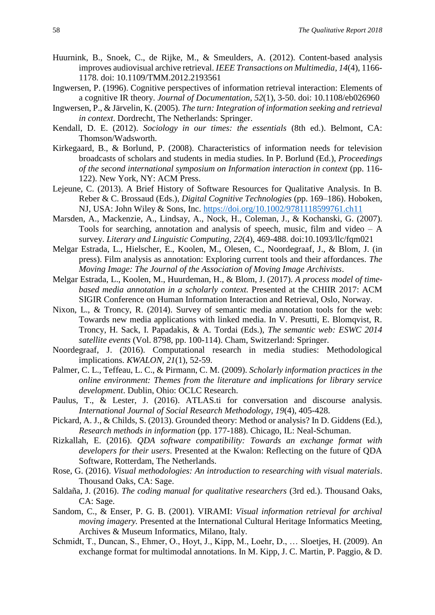- Huurnink, B., Snoek, C., de Rijke, M., & Smeulders, A. (2012). Content-based analysis improves audiovisual archive retrieval. *IEEE Transactions on Multimedia*, *14*(4), 1166- 1178. doi: 10.1109/TMM.2012.2193561
- Ingwersen, P. (1996). Cognitive perspectives of information retrieval interaction: Elements of a cognitive IR theory. *Journal of Documentation, 52*(1), 3-50. doi: 10.1108/eb026960
- Ingwersen, P., & Järvelin, K. (2005). *The turn: Integration of information seeking and retrieval in context*. Dordrecht, The Netherlands: Springer.
- Kendall, D. E. (2012). *Sociology in our times: the essentials* (8th ed.). Belmont, CA: Thomson/Wadsworth.
- Kirkegaard, B., & Borlund, P. (2008). Characteristics of information needs for television broadcasts of scholars and students in media studies. In P. Borlund (Ed.), *Proceedings of the second international symposium on Information interaction in context* (pp. 116- 122). New York, NY: ACM Press.
- Lejeune, C. (2013). A Brief History of Software Resources for Qualitative Analysis. In B. Reber & C. Brossaud (Eds.), *Digital Cognitive Technologies* (pp. 169–186). Hoboken, NJ, USA: John Wiley & Sons, Inc.<https://doi.org/10.1002/9781118599761.ch11>
- Marsden, A., Mackenzie, A., Lindsay, A., Nock, H., Coleman, J., & Kochanski, G. (2007). Tools for searching, annotation and analysis of speech, music, film and video  $- A$ survey. *Literary and Linguistic Computing, 22*(4), 469-488. doi:10.1093/llc/fqm021
- Melgar Estrada, L., Hielscher, E., Koolen, M., Olesen, C., Noordegraaf, J., & Blom, J. (in press). Film analysis as annotation: Exploring current tools and their affordances. *The Moving Image: The Journal of the Association of Moving Image Archivists*.
- Melgar Estrada, L., Koolen, M., Huurdeman, H., & Blom, J. (2017). *A process model of timebased media annotation in a scholarly context.* Presented at the CHIIR 2017: ACM SIGIR Conference on Human Information Interaction and Retrieval, Oslo, Norway.
- Nixon, L., & Troncy, R. (2014). Survey of semantic media annotation tools for the web: Towards new media applications with linked media. In V. Presutti, E. Blomqvist, R. Troncy, H. Sack, I. Papadakis, & A. Tordai (Eds.), *The semantic web: ESWC 2014 satellite events* (Vol. 8798, pp. 100-114). Cham, Switzerland: Springer.
- Noordegraaf, J. (2016). Computational research in media studies: Methodological implications. *KWALON, 21*(1), 52-59.
- Palmer, C. L., Teffeau, L. C., & Pirmann, C. M. (2009). *Scholarly information practices in the online environment: Themes from the literature and implications for library service development*. Dublin, Ohio: OCLC Research.
- Paulus, T., & Lester, J. (2016). ATLAS.ti for conversation and discourse analysis. *International Journal of Social Research Methodology, 19*(4), 405-428.
- Pickard, A. J., & Childs, S. (2013). Grounded theory: Method or analysis? In D. Giddens (Ed.), *Research methods in information* (pp. 177-188). Chicago, IL: Neal-Schuman.
- Rizkallah, E. (2016). *QDA software compatibility: Towards an exchange format with developers for their users*. Presented at the Kwalon: Reflecting on the future of QDA Software, Rotterdam, The Netherlands.
- Rose, G. (2016). *Visual methodologies: An introduction to researching with visual materials*. Thousand Oaks, CA: Sage.
- Saldaña, J. (2016). *The coding manual for qualitative researchers* (3rd ed.). Thousand Oaks, CA: Sage.
- Sandom, C., & Enser, P. G. B. (2001). VIRAMI: *Visual information retrieval for archival moving imagery.* Presented at the International Cultural Heritage Informatics Meeting, Archives & Museum Informatics, Milano, Italy.
- Schmidt, T., Duncan, S., Ehmer, O., Hoyt, J., Kipp, M., Loehr, D., … Sloetjes, H. (2009). An exchange format for multimodal annotations. In M. Kipp, J. C. Martin, P. Paggio, & D.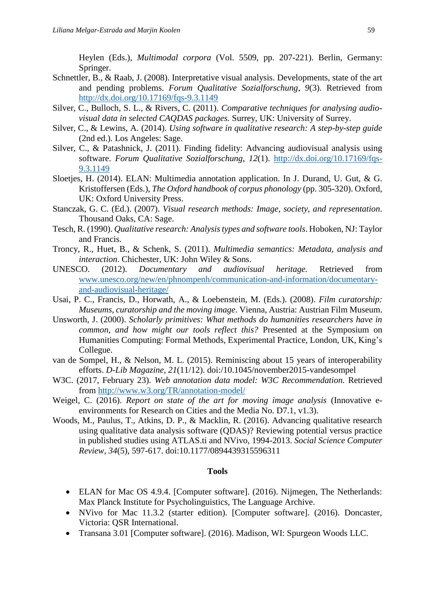Heylen (Eds.), *Multimodal corpora* (Vol. 5509, pp. 207-221). Berlin, Germany: Springer.

- Schnettler, B., & Raab, J. (2008). Interpretative visual analysis. Developments, state of the art and pending problems. *Forum Qualitative Sozialforschung*, *9*(3). Retrieved from <http://dx.doi.org/10.17169/fqs-9.3.1149>
- Silver, C., Bulloch, S. L., & Rivers, C. (2011). *Comparative techniques for analysing audiovisual data in selected CAQDAS packages.* Surrey, UK: University of Surrey.
- Silver, C., & Lewins, A. (2014). *Using software in qualitative research: A step-by-step guide* (2nd ed.). Los Angeles: Sage.
- Silver, C., & Patashnick, J. (2011). Finding fidelity: Advancing audiovisual analysis using software. *Forum Qualitative Sozialforschung*, *12*(1). [http://dx.doi.org/10.17169/fqs-](http://dx.doi.org/10.17169/fqs-9.3.1149)[9.3.1149](http://dx.doi.org/10.17169/fqs-9.3.1149)
- Sloetjes, H. (2014). ELAN: Multimedia annotation application. In J. Durand, U. Gut, & G. Kristoffersen (Eds.), *The Oxford handbook of corpus phonology* (pp. 305-320). Oxford, UK: Oxford University Press.
- Stanczak, G. C. (Ed.). (2007). *Visual research methods: Image, society, and representation*. Thousand Oaks, CA: Sage.
- Tesch, R. (1990). *Qualitative research: Analysis types and software tools*. Hoboken, NJ: Taylor and Francis.
- Troncy, R., Huet, B., & Schenk, S. (2011). *Multimedia semantics: Metadata, analysis and interaction*. Chichester, UK: John Wiley & Sons.
- UNESCO. (2012). *Documentary and audiovisual heritage.* Retrieved from [www.unesco.org/new/en/phnompenh/communication-and-information/documentary](http://www.unesco.org/new/en/phnompenh/communication-and-information/documentary-and-audiovisual-heritage/)[and-audiovisual-heritage/](http://www.unesco.org/new/en/phnompenh/communication-and-information/documentary-and-audiovisual-heritage/)
- Usai, P. C., Francis, D., Horwath, A., & Loebenstein, M. (Eds.). (2008). *Film curatorship: Museums, curatorship and the moving image*. Vienna, Austria: Austrian Film Museum.
- Unsworth, J. (2000). *Scholarly primitives: What methods do humanities researchers have in common, and how might our tools reflect this?* Presented at the Symposium on Humanities Computing: Formal Methods, Experimental Practice, London, UK, King's Collegue.
- van de Sompel, H., & Nelson, M. L. (2015). Reminiscing about 15 years of interoperability efforts. *D-Lib Magazine, 21*(11/12). doi:/10.1045/november2015-vandesompel
- W3C. (2017, February 23). *Web annotation data model: W3C Recommendation.* Retrieved from<http://www.w3.org/TR/annotation-model/>
- Weigel, C. (2016). *Report on state of the art for moving image analysis* (Innovative eenvironments for Research on Cities and the Media No. D7.1, v1.3).
- Woods, M., Paulus, T., Atkins, D. P., & Macklin, R. (2016). Advancing qualitative research using qualitative data analysis software (QDAS)? Reviewing potential versus practice in published studies using ATLAS.ti and NVivo, 1994-2013. *Social Science Computer Review, 34*(5), 597-617. [doi:10.1177/0894439315596311](https://doi.org/10.1177/0894439315596311)

#### **Tools**

- ELAN for Mac OS 4.9.4. [Computer software]. (2016). Nijmegen, The Netherlands: Max Planck Institute for Psycholinguistics, The Language Archive.
- NVivo for Mac 11.3.2 (starter edition). [Computer software]. (2016). Doncaster, Victoria: QSR International.
- Transana 3.01 [Computer software]. (2016). Madison, WI: Spurgeon Woods LLC.